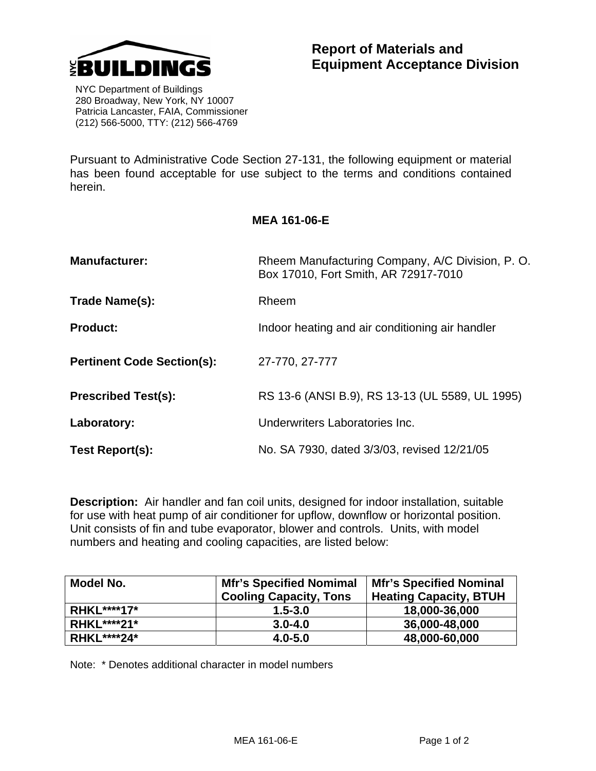

 NYC Department of Buildings 280 Broadway, New York, NY 10007 Patricia Lancaster, FAIA, Commissioner (212) 566-5000, TTY: (212) 566-4769

Pursuant to Administrative Code Section 27-131, the following equipment or material has been found acceptable for use subject to the terms and conditions contained herein.

## **MEA 161-06-E**

| <b>Manufacturer:</b>              | Rheem Manufacturing Company, A/C Division, P.O.<br>Box 17010, Fort Smith, AR 72917-7010 |  |
|-----------------------------------|-----------------------------------------------------------------------------------------|--|
| Trade Name(s):                    | Rheem                                                                                   |  |
| <b>Product:</b>                   | Indoor heating and air conditioning air handler                                         |  |
| <b>Pertinent Code Section(s):</b> | 27-770, 27-777                                                                          |  |
| <b>Prescribed Test(s):</b>        | RS 13-6 (ANSI B.9), RS 13-13 (UL 5589, UL 1995)                                         |  |
| Laboratory:                       | Underwriters Laboratories Inc.                                                          |  |
| Test Report(s):                   | No. SA 7930, dated 3/3/03, revised 12/21/05                                             |  |

**Description:** Air handler and fan coil units, designed for indoor installation, suitable for use with heat pump of air conditioner for upflow, downflow or horizontal position. Unit consists of fin and tube evaporator, blower and controls. Units, with model numbers and heating and cooling capacities, are listed below:

| Model No.          | <b>Mfr's Specified Nomimal</b><br><b>Cooling Capacity, Tons</b> | <b>Mfr's Specified Nominal</b><br><b>Heating Capacity, BTUH</b> |
|--------------------|-----------------------------------------------------------------|-----------------------------------------------------------------|
| <b>RHKL****17*</b> | $1.5 - 3.0$                                                     | 18,000-36,000                                                   |
| <b>RHKL****21*</b> | $3.0 - 4.0$                                                     | 36,000-48,000                                                   |
| <b>RHKL****24*</b> | $4.0 - 5.0$                                                     | 48,000-60,000                                                   |

Note: \* Denotes additional character in model numbers